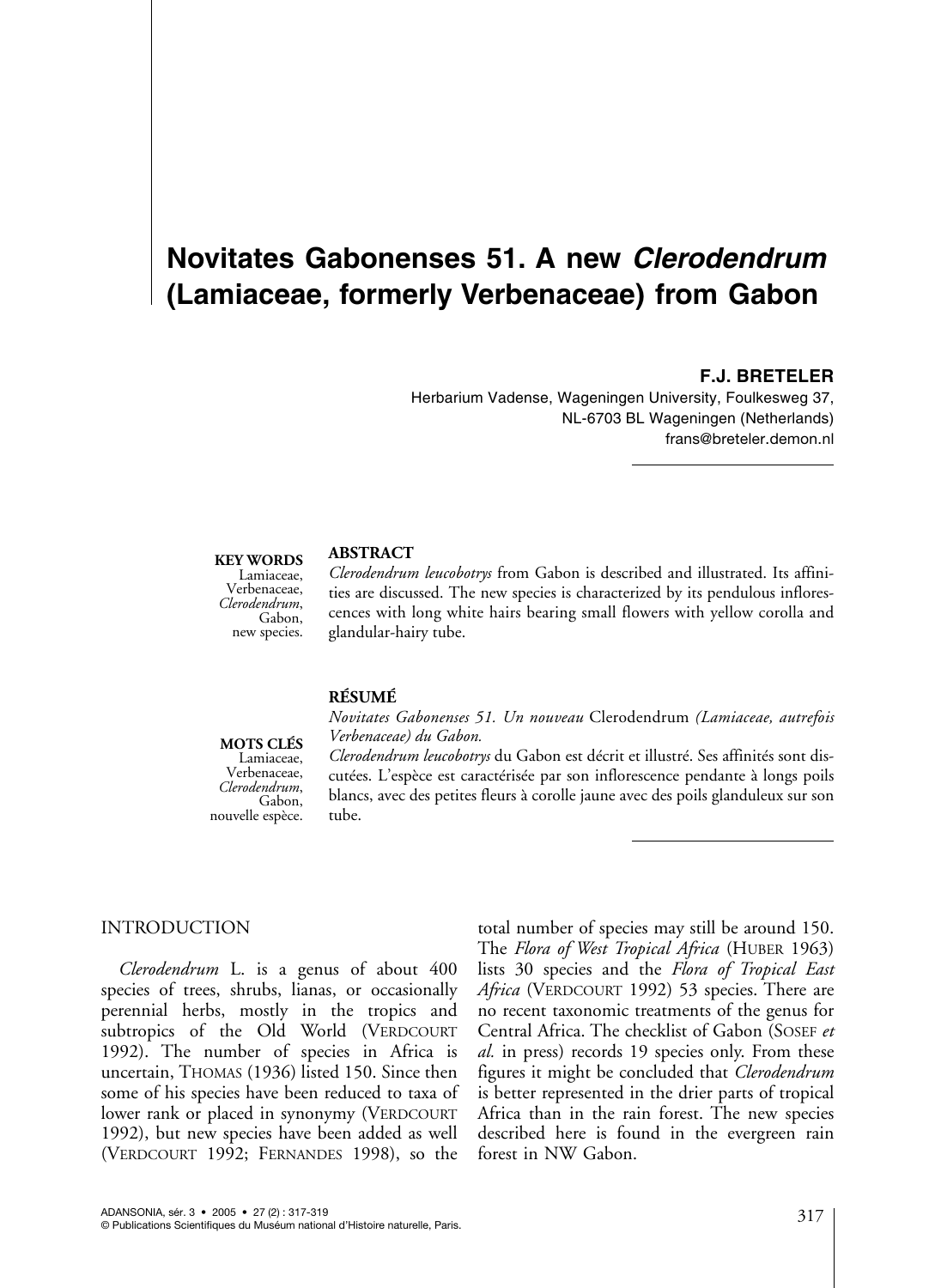# **Novitates Gabonenses 51. A new** *Clerodendrum* **(Lamiaceae, formerly Verbenaceae) from Gabon**

## **F.J. BRETELER**

Herbarium Vadense, Wageningen University, Foulkesweg 37, NL-6703 BL Wageningen (Netherlands) frans@breteler.demon.nl

#### **KEY WORDS**

Lamiaceae, Verbenaceae, *Clerodendrum*, Gabon, new species.

## **ABSTRACT**

*Clerodendrum leucobotrys* from Gabon is described and illustrated. Its affinities are discussed. The new species is characterized by its pendulous inflorescences with long white hairs bearing small flowers with yellow corolla and glandular-hairy tube.

#### **RÉSUMÉ**

**MOTS CLÉS**

Lamiaceae, Verbenaceae, *Clerodendrum*, Gabon, nouvelle espèce. *Verbenaceae) du Gabon. Clerodendrum leucobotrys* du Gabon est décrit et illustré. Ses affinités sont discutées. L'espèce est caractérisée par son inflorescence pendante à longs poils blancs, avec des petites fleurs à corolle jaune avec des poils glanduleux sur son tube.

*Novitates Gabonenses 51. Un nouveau* Clerodendrum *(Lamiaceae, autrefois*

## INTRODUCTION

*Clerodendrum* L. is a genus of about 400 species of trees, shrubs, lianas, or occasionally perennial herbs, mostly in the tropics and subtropics of the Old World (VERDCOURT 1992). The number of species in Africa is uncertain, THOMAS (1936) listed 150. Since then some of his species have been reduced to taxa of lower rank or placed in synonymy (VERDCOURT 1992), but new species have been added as well (VERDCOURT 1992; FERNANDES 1998), so the

total number of species may still be around 150. The *Flora of West Tropical Africa* (HUBER 1963) lists 30 species and the *Flora of Tropical East Africa* (VERDCOURT 1992) 53 species. There are no recent taxonomic treatments of the genus for Central Africa. The checklist of Gabon (SOSEF *et al.* in press) records 19 species only. From these figures it might be concluded that *Clerodendrum* is better represented in the drier parts of tropical Africa than in the rain forest. The new species described here is found in the evergreen rain forest in NW Gabon.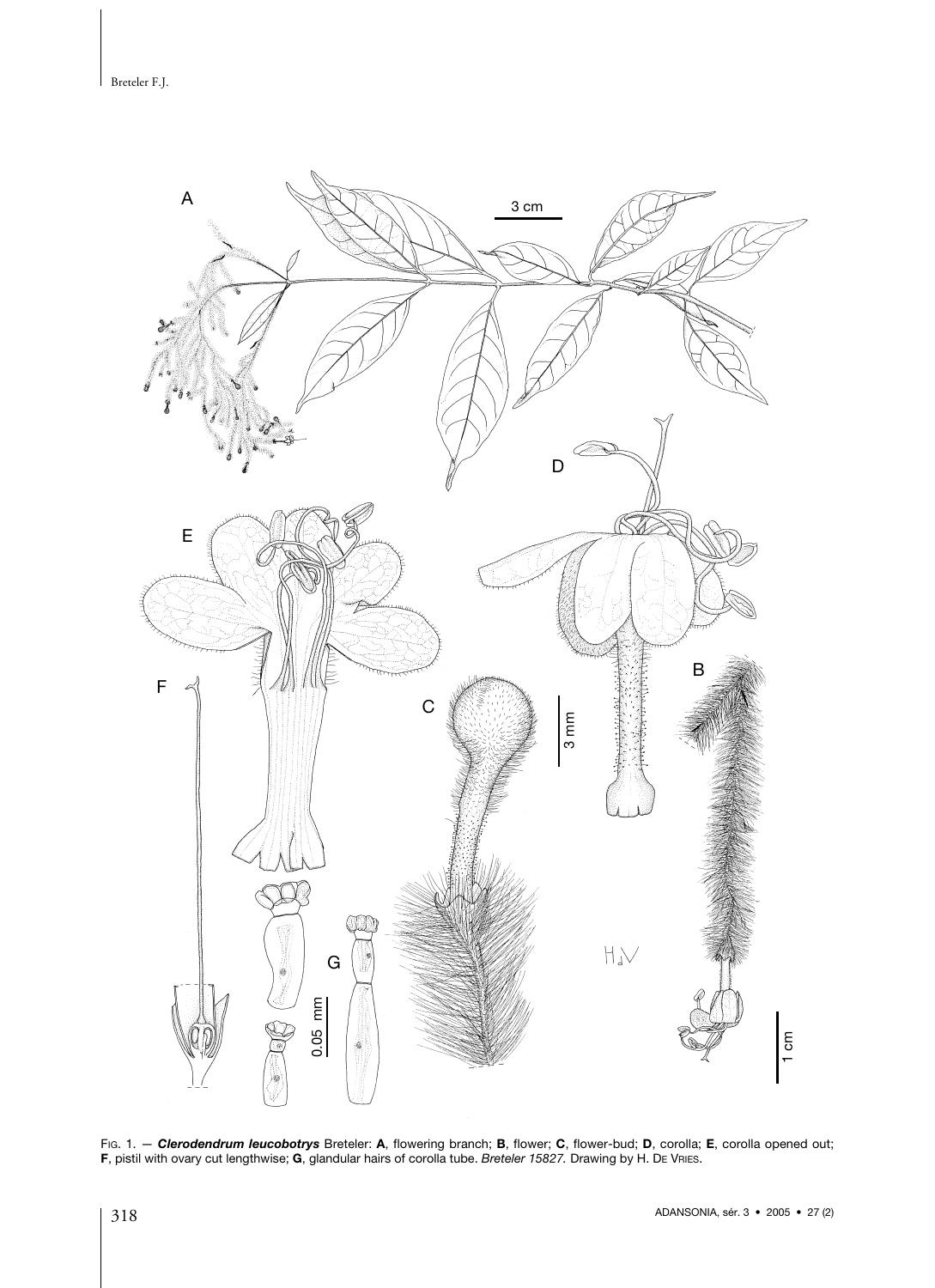Breteler F.J.



FIG. 1. — *Clerodendrum leucobotrys* Breteler: **A**, flowering branch; **B**, flower; **C**, flower-bud; **D**, corolla; **E**, corolla opened out; **F**, pistil with ovary cut lengthwise; **G**, glandular hairs of corolla tube. *Breteler 15827.* Drawing by H. D<sup>E</sup> VRIES.